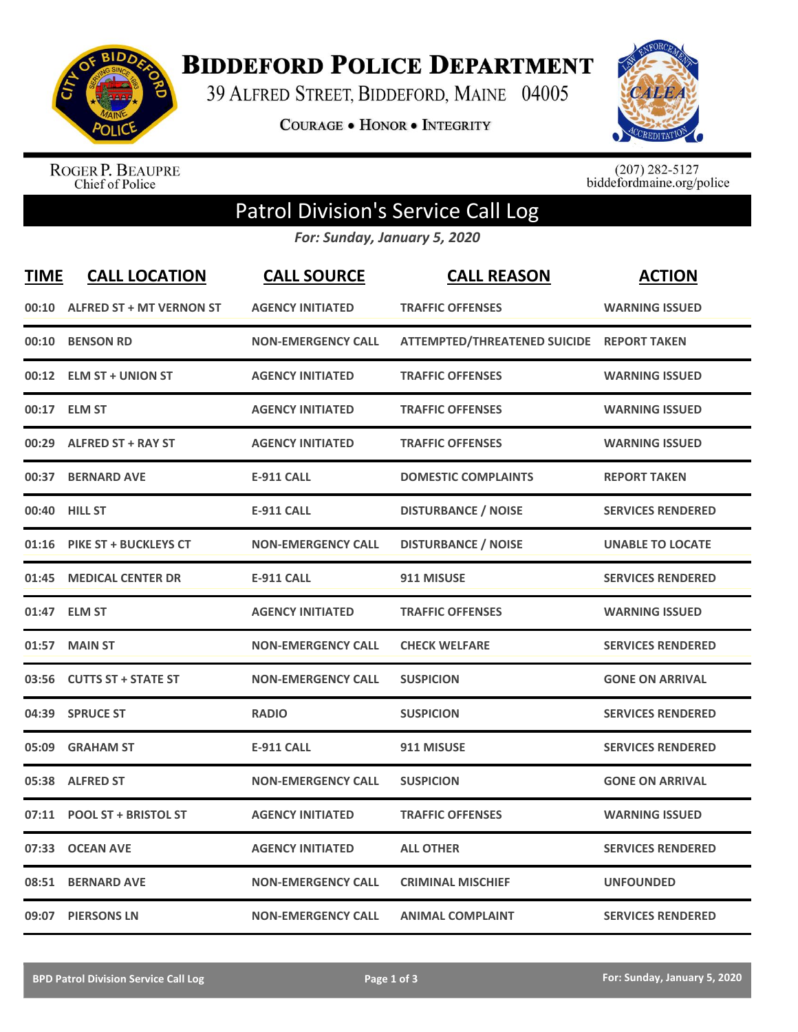

**BIDDEFORD POLICE DEPARTMENT** 

39 ALFRED STREET, BIDDEFORD, MAINE 04005

**COURAGE . HONOR . INTEGRITY** 



ROGER P. BEAUPRE<br>Chief of Police

 $(207)$  282-5127<br>biddefordmaine.org/police

## Patrol Division's Service Call Log

*For: Sunday, January 5, 2020*

| <b>TIME</b> | <b>CALL LOCATION</b>            | <b>CALL SOURCE</b>        | <b>CALL REASON</b>                        | <b>ACTION</b>            |
|-------------|---------------------------------|---------------------------|-------------------------------------------|--------------------------|
| 00:10       | <b>ALFRED ST + MT VERNON ST</b> | <b>AGENCY INITIATED</b>   | <b>TRAFFIC OFFENSES</b>                   | <b>WARNING ISSUED</b>    |
| 00:10       | <b>BENSON RD</b>                | <b>NON-EMERGENCY CALL</b> | ATTEMPTED/THREATENED SUICIDE REPORT TAKEN |                          |
| 00:12       | <b>ELM ST + UNION ST</b>        | <b>AGENCY INITIATED</b>   | <b>TRAFFIC OFFENSES</b>                   | <b>WARNING ISSUED</b>    |
| 00:17       | <b>ELM ST</b>                   | <b>AGENCY INITIATED</b>   | <b>TRAFFIC OFFENSES</b>                   | <b>WARNING ISSUED</b>    |
| 00:29       | <b>ALFRED ST + RAY ST</b>       | <b>AGENCY INITIATED</b>   | <b>TRAFFIC OFFENSES</b>                   | <b>WARNING ISSUED</b>    |
| 00:37       | <b>BERNARD AVE</b>              | <b>E-911 CALL</b>         | <b>DOMESTIC COMPLAINTS</b>                | <b>REPORT TAKEN</b>      |
|             | 00:40 HILL ST                   | <b>E-911 CALL</b>         | <b>DISTURBANCE / NOISE</b>                | <b>SERVICES RENDERED</b> |
| 01:16       | <b>PIKE ST + BUCKLEYS CT</b>    | <b>NON-EMERGENCY CALL</b> | <b>DISTURBANCE / NOISE</b>                | <b>UNABLE TO LOCATE</b>  |
| 01:45       | <b>MEDICAL CENTER DR</b>        | <b>E-911 CALL</b>         | 911 MISUSE                                | <b>SERVICES RENDERED</b> |
|             | 01:47 ELM ST                    | <b>AGENCY INITIATED</b>   | <b>TRAFFIC OFFENSES</b>                   | <b>WARNING ISSUED</b>    |
| 01:57       | <b>MAIN ST</b>                  | <b>NON-EMERGENCY CALL</b> | <b>CHECK WELFARE</b>                      | <b>SERVICES RENDERED</b> |
| 03:56       | <b>CUTTS ST + STATE ST</b>      | <b>NON-EMERGENCY CALL</b> | <b>SUSPICION</b>                          | <b>GONE ON ARRIVAL</b>   |
| 04:39       | <b>SPRUCE ST</b>                | <b>RADIO</b>              | <b>SUSPICION</b>                          | <b>SERVICES RENDERED</b> |
| 05:09       | <b>GRAHAM ST</b>                | <b>E-911 CALL</b>         | 911 MISUSE                                | <b>SERVICES RENDERED</b> |
| 05:38       | <b>ALFRED ST</b>                | <b>NON-EMERGENCY CALL</b> | <b>SUSPICION</b>                          | <b>GONE ON ARRIVAL</b>   |
| 07:11       | <b>POOL ST + BRISTOL ST</b>     | <b>AGENCY INITIATED</b>   | <b>TRAFFIC OFFENSES</b>                   | <b>WARNING ISSUED</b>    |
| 07:33       | <b>OCEAN AVE</b>                | <b>AGENCY INITIATED</b>   | <b>ALL OTHER</b>                          | <b>SERVICES RENDERED</b> |
| 08:51       | <b>BERNARD AVE</b>              | <b>NON-EMERGENCY CALL</b> | <b>CRIMINAL MISCHIEF</b>                  | <b>UNFOUNDED</b>         |
|             | 09:07 PIERSONS LN               | <b>NON-EMERGENCY CALL</b> | <b>ANIMAL COMPLAINT</b>                   | <b>SERVICES RENDERED</b> |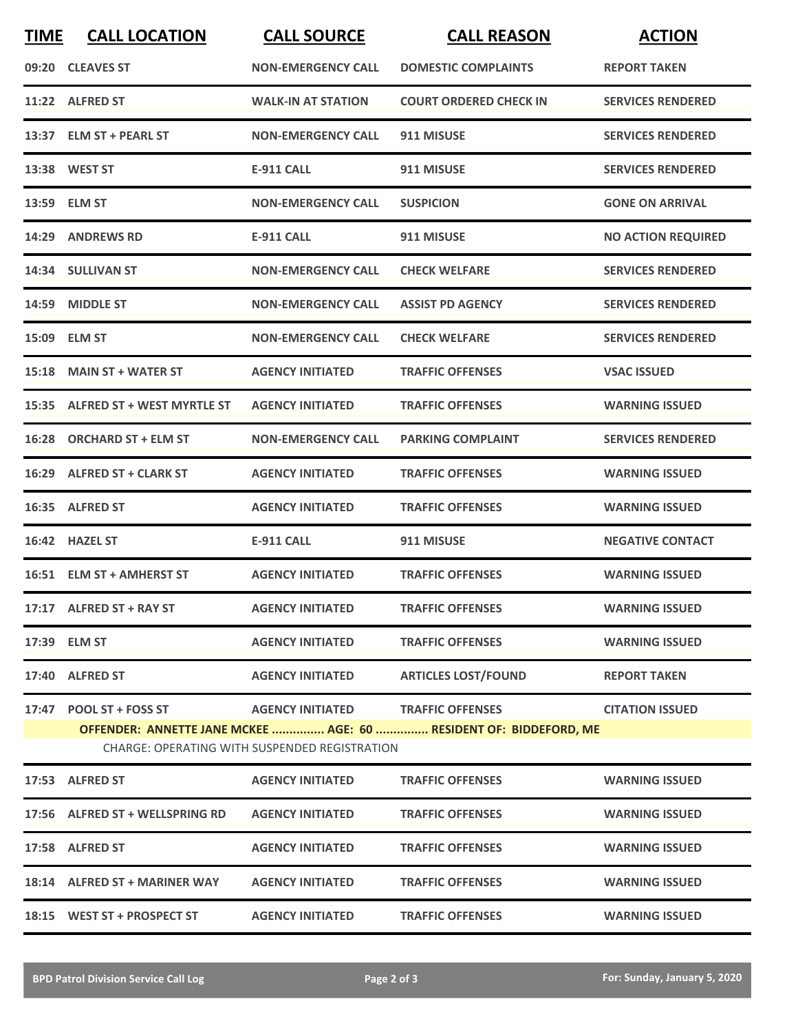| <b>TIME</b>                                          | <b>CALL LOCATION</b>             | <b>CALL SOURCE</b>        | <b>CALL REASON</b>                                                | <b>ACTION</b>             |  |  |  |
|------------------------------------------------------|----------------------------------|---------------------------|-------------------------------------------------------------------|---------------------------|--|--|--|
|                                                      | 09:20 CLEAVES ST                 | <b>NON-EMERGENCY CALL</b> | <b>DOMESTIC COMPLAINTS</b>                                        | <b>REPORT TAKEN</b>       |  |  |  |
|                                                      | 11:22 ALFRED ST                  | <b>WALK-IN AT STATION</b> | <b>COURT ORDERED CHECK IN</b>                                     | <b>SERVICES RENDERED</b>  |  |  |  |
|                                                      | 13:37 ELM ST + PEARL ST          | <b>NON-EMERGENCY CALL</b> | 911 MISUSE                                                        | <b>SERVICES RENDERED</b>  |  |  |  |
|                                                      | 13:38 WEST ST                    | <b>E-911 CALL</b>         | 911 MISUSE                                                        | <b>SERVICES RENDERED</b>  |  |  |  |
|                                                      | 13:59 ELM ST                     | <b>NON-EMERGENCY CALL</b> | <b>SUSPICION</b>                                                  | <b>GONE ON ARRIVAL</b>    |  |  |  |
|                                                      | 14:29 ANDREWS RD                 | <b>E-911 CALL</b>         | 911 MISUSE                                                        | <b>NO ACTION REQUIRED</b> |  |  |  |
|                                                      | 14:34 SULLIVAN ST                | <b>NON-EMERGENCY CALL</b> | <b>CHECK WELFARE</b>                                              | <b>SERVICES RENDERED</b>  |  |  |  |
|                                                      | 14:59 MIDDLE ST                  | <b>NON-EMERGENCY CALL</b> | <b>ASSIST PD AGENCY</b>                                           | <b>SERVICES RENDERED</b>  |  |  |  |
|                                                      | 15:09 ELM ST                     | <b>NON-EMERGENCY CALL</b> | <b>CHECK WELFARE</b>                                              | <b>SERVICES RENDERED</b>  |  |  |  |
|                                                      | 15:18 MAIN ST + WATER ST         | <b>AGENCY INITIATED</b>   | <b>TRAFFIC OFFENSES</b>                                           | <b>VSAC ISSUED</b>        |  |  |  |
|                                                      | 15:35 ALFRED ST + WEST MYRTLE ST | <b>AGENCY INITIATED</b>   | <b>TRAFFIC OFFENSES</b>                                           | <b>WARNING ISSUED</b>     |  |  |  |
|                                                      | 16:28 ORCHARD ST + ELM ST        | <b>NON-EMERGENCY CALL</b> | <b>PARKING COMPLAINT</b>                                          | <b>SERVICES RENDERED</b>  |  |  |  |
|                                                      | 16:29 ALFRED ST + CLARK ST       | <b>AGENCY INITIATED</b>   | <b>TRAFFIC OFFENSES</b>                                           | <b>WARNING ISSUED</b>     |  |  |  |
|                                                      | 16:35 ALFRED ST                  | <b>AGENCY INITIATED</b>   | <b>TRAFFIC OFFENSES</b>                                           | <b>WARNING ISSUED</b>     |  |  |  |
|                                                      | 16:42 HAZEL ST                   | <b>E-911 CALL</b>         | 911 MISUSE                                                        | <b>NEGATIVE CONTACT</b>   |  |  |  |
|                                                      | 16:51 ELM ST + AMHERST ST        | <b>AGENCY INITIATED</b>   | <b>TRAFFIC OFFENSES</b>                                           | <b>WARNING ISSUED</b>     |  |  |  |
|                                                      | 17:17 ALFRED ST + RAY ST         | <b>AGENCY INITIATED</b>   | <b>TRAFFIC OFFENSES</b>                                           | <b>WARNING ISSUED</b>     |  |  |  |
|                                                      | 17:39 ELM ST                     | <b>AGENCY INITIATED</b>   | <b>TRAFFIC OFFENSES</b>                                           | <b>WARNING ISSUED</b>     |  |  |  |
|                                                      | 17:40 ALFRED ST                  | <b>AGENCY INITIATED</b>   | <b>ARTICLES LOST/FOUND</b>                                        | <b>REPORT TAKEN</b>       |  |  |  |
|                                                      |                                  |                           | OFFENDER: ANNETTE JANE MCKEE  AGE: 60  RESIDENT OF: BIDDEFORD, ME | <b>CITATION ISSUED</b>    |  |  |  |
| <b>CHARGE: OPERATING WITH SUSPENDED REGISTRATION</b> |                                  |                           |                                                                   |                           |  |  |  |
|                                                      | 17:53 ALFRED ST                  | <b>AGENCY INITIATED</b>   | <b>TRAFFIC OFFENSES</b>                                           | <b>WARNING ISSUED</b>     |  |  |  |
|                                                      | 17:56 ALFRED ST + WELLSPRING RD  | <b>AGENCY INITIATED</b>   | <b>TRAFFIC OFFENSES</b>                                           | <b>WARNING ISSUED</b>     |  |  |  |
|                                                      | 17:58 ALFRED ST                  | <b>AGENCY INITIATED</b>   | <b>TRAFFIC OFFENSES</b>                                           | <b>WARNING ISSUED</b>     |  |  |  |
|                                                      | 18:14 ALFRED ST + MARINER WAY    | <b>AGENCY INITIATED</b>   | <b>TRAFFIC OFFENSES</b>                                           | <b>WARNING ISSUED</b>     |  |  |  |
|                                                      | 18:15 WEST ST + PROSPECT ST      | <b>AGENCY INITIATED</b>   | <b>TRAFFIC OFFENSES</b>                                           | <b>WARNING ISSUED</b>     |  |  |  |